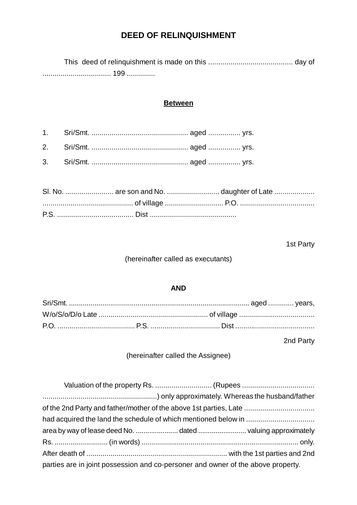# **DEED OF RELINQUISHMENT**

This deed of relinquishment is made on this .......................................... day of .................................. 199 ..............

#### **Between**

1. Sri/Smt. ................................................ aged ................ yrs. 2. Sri/Smt. ................................................ aged ................ yrs. 3. Sri/Smt. ................................................ aged ................ yrs.

|  | SI. No.  are son and No.  daughter of Late |
|--|--------------------------------------------|
|  |                                            |
|  |                                            |

#### 1st Party

#### (hereinafter called as executants)

#### **AND**

2nd Party

(hereinafter called the Assignee)

| of the 2nd Party and father/mother of the above 1st parties, Late                |  |  |  |  |
|----------------------------------------------------------------------------------|--|--|--|--|
|                                                                                  |  |  |  |  |
|                                                                                  |  |  |  |  |
|                                                                                  |  |  |  |  |
|                                                                                  |  |  |  |  |
| parties are in joint possession and co-personer and owner of the above property. |  |  |  |  |